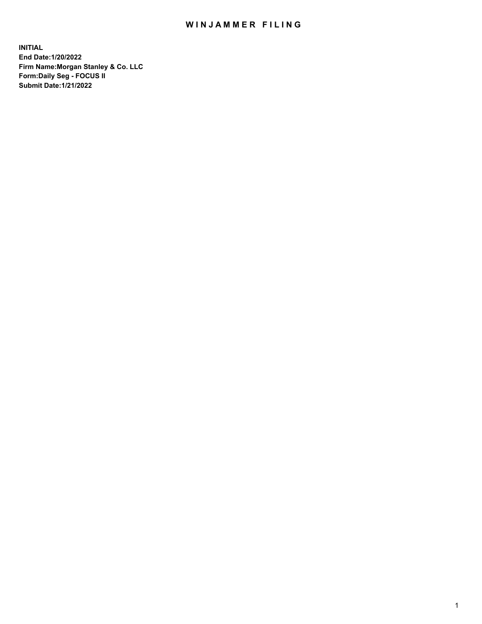## WIN JAMMER FILING

**INITIAL End Date:1/20/2022 Firm Name:Morgan Stanley & Co. LLC Form:Daily Seg - FOCUS II Submit Date:1/21/2022**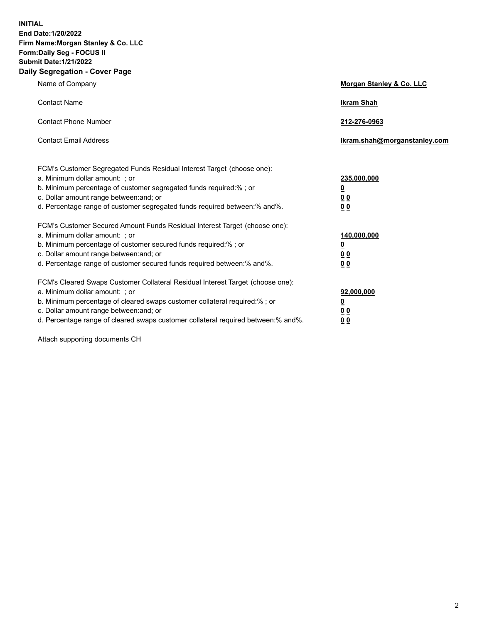**INITIAL End Date:1/20/2022 Firm Name:Morgan Stanley & Co. LLC Form:Daily Seg - FOCUS II Submit Date:1/21/2022 Daily Segregation - Cover Page**

| Name of Company                                                                                                                                                                                                                                                                                                                | Morgan Stanley & Co. LLC                               |
|--------------------------------------------------------------------------------------------------------------------------------------------------------------------------------------------------------------------------------------------------------------------------------------------------------------------------------|--------------------------------------------------------|
| <b>Contact Name</b>                                                                                                                                                                                                                                                                                                            | <b>Ikram Shah</b>                                      |
| <b>Contact Phone Number</b>                                                                                                                                                                                                                                                                                                    | 212-276-0963                                           |
| <b>Contact Email Address</b>                                                                                                                                                                                                                                                                                                   | Ikram.shah@morganstanley.com                           |
| FCM's Customer Segregated Funds Residual Interest Target (choose one):<br>a. Minimum dollar amount: : or<br>b. Minimum percentage of customer segregated funds required:%; or<br>c. Dollar amount range between: and; or<br>d. Percentage range of customer segregated funds required between:% and%.                          | 235,000,000<br><u>0</u><br>0 Q<br><u>00</u>            |
| FCM's Customer Secured Amount Funds Residual Interest Target (choose one):<br>a. Minimum dollar amount: ; or<br>b. Minimum percentage of customer secured funds required:%; or<br>c. Dollar amount range between: and; or<br>d. Percentage range of customer secured funds required between:% and%.                            | 140,000,000<br><u>0</u><br><u>00</u><br>0 <sub>0</sub> |
| FCM's Cleared Swaps Customer Collateral Residual Interest Target (choose one):<br>a. Minimum dollar amount: ; or<br>b. Minimum percentage of cleared swaps customer collateral required:% ; or<br>c. Dollar amount range between: and; or<br>d. Percentage range of cleared swaps customer collateral required between:% and%. | 92,000,000<br><u>0</u><br><u>00</u><br>0 <sub>0</sub>  |

Attach supporting documents CH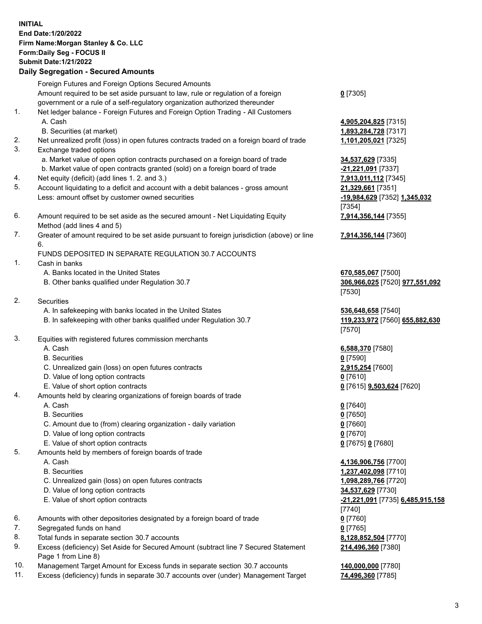## **INITIAL End Date:1/20/2022 Firm Name:Morgan Stanley & Co. LLC Form:Daily Seg - FOCUS II Submit Date:1/21/2022 Daily Segregation - Secured Amounts** Foreign Futures and Foreign Options Secured Amounts Amount required to be set aside pursuant to law, rule or regulation of a foreign government or a rule of a self-regulatory organization authorized thereunder **0** [7305] 1. Net ledger balance - Foreign Futures and Foreign Option Trading - All Customers A. Cash **4,905,204,825** [7315] B. Securities (at market) **1,893,284,728** [7317] 2. Net unrealized profit (loss) in open futures contracts traded on a foreign board of trade **1,101,205,021** [7325] 3. Exchange traded options a. Market value of open option contracts purchased on a foreign board of trade **34,537,629** [7335] b. Market value of open contracts granted (sold) on a foreign board of trade **-21,221,091** [7337] 4. Net equity (deficit) (add lines 1. 2. and 3.) **7,913,011,112** [7345] 5. Account liquidating to a deficit and account with a debit balances - gross amount **21,329,661** [7351] Less: amount offset by customer owned securities **-19,984,629** [7352] **1,345,032** [7354] 6. Amount required to be set aside as the secured amount - Net Liquidating Equity Method (add lines 4 and 5) **7,914,356,144** [7355] 7. Greater of amount required to be set aside pursuant to foreign jurisdiction (above) or line 6. **7,914,356,144** [7360] FUNDS DEPOSITED IN SEPARATE REGULATION 30.7 ACCOUNTS 1. Cash in banks A. Banks located in the United States **670,585,067** [7500] B. Other banks qualified under Regulation 30.7 **306,966,025** [7520] **977,551,092** [7530] 2. Securities A. In safekeeping with banks located in the United States **536,648,658** [7540] B. In safekeeping with other banks qualified under Regulation 30.7 **119,233,972** [7560] **655,882,630** [7570] 3. Equities with registered futures commission merchants A. Cash **6,588,370** [7580] B. Securities **0** [7590] C. Unrealized gain (loss) on open futures contracts **2,915,254** [7600] D. Value of long option contracts **0** [7610] E. Value of short option contracts **0** [7615] **9,503,624** [7620] 4. Amounts held by clearing organizations of foreign boards of trade A. Cash **0** [7640] B. Securities **0** [7650] C. Amount due to (from) clearing organization - daily variation **0** [7660] D. Value of long option contracts **0** [7670] E. Value of short option contracts **0** [7675] **0** [7680] 5. Amounts held by members of foreign boards of trade A. Cash **4,136,906,756** [7700] B. Securities **1,237,402,098** [7710] C. Unrealized gain (loss) on open futures contracts **1,098,289,766** [7720] D. Value of long option contracts **34,537,629** [7730] E. Value of short option contracts **-21,221,091** [7735] **6,485,915,158** [7740] 6. Amounts with other depositories designated by a foreign board of trade **0** [7760] 7. Segregated funds on hand **0** [7765] 8. Total funds in separate section 30.7 accounts **8,128,852,504** [7770] **214,496,360** [7380]

- 9. Excess (deficiency) Set Aside for Secured Amount (subtract line 7 Secured Statement Page 1 from Line 8)
- 10. Management Target Amount for Excess funds in separate section 30.7 accounts **140,000,000** [7780]
- 11. Excess (deficiency) funds in separate 30.7 accounts over (under) Management Target **74,496,360** [7785]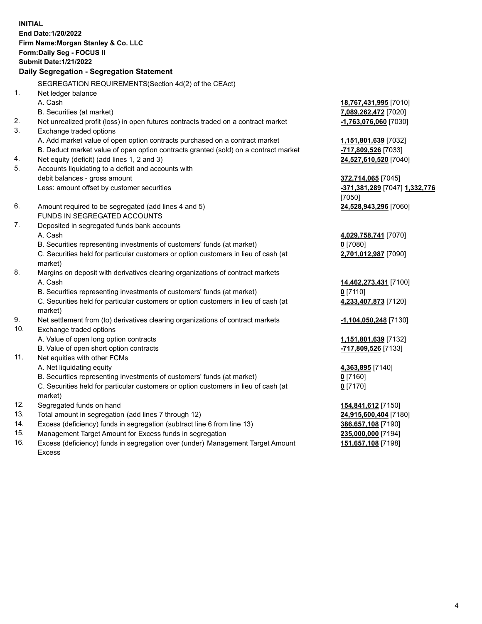**INITIAL End Date:1/20/2022 Firm Name:Morgan Stanley & Co. LLC Form:Daily Seg - FOCUS II Submit Date:1/21/2022 Daily Segregation - Segregation Statement** SEGREGATION REQUIREMENTS(Section 4d(2) of the CEAct) 1. Net ledger balance A. Cash **18,767,431,995** [7010] B. Securities (at market) **7,089,262,472** [7020] 2. Net unrealized profit (loss) in open futures contracts traded on a contract market **-1,763,076,060** [7030] 3. Exchange traded options A. Add market value of open option contracts purchased on a contract market **1,151,801,639** [7032] B. Deduct market value of open option contracts granted (sold) on a contract market **-717,809,526** [7033] 4. Net equity (deficit) (add lines 1, 2 and 3) **24,527,610,520** [7040] 5. Accounts liquidating to a deficit and accounts with debit balances - gross amount **372,714,065** [7045] Less: amount offset by customer securities **-371,381,289** [7047] **1,332,776** [7050] 6. Amount required to be segregated (add lines 4 and 5) **24,528,943,296** [7060] FUNDS IN SEGREGATED ACCOUNTS 7. Deposited in segregated funds bank accounts A. Cash **4,029,758,741** [7070] B. Securities representing investments of customers' funds (at market) **0** [7080] C. Securities held for particular customers or option customers in lieu of cash (at market) **2,701,012,987** [7090] 8. Margins on deposit with derivatives clearing organizations of contract markets A. Cash **14,462,273,431** [7100] B. Securities representing investments of customers' funds (at market) **0** [7110] C. Securities held for particular customers or option customers in lieu of cash (at market) **4,233,407,873** [7120] 9. Net settlement from (to) derivatives clearing organizations of contract markets **-1,104,050,248** [7130] 10. Exchange traded options A. Value of open long option contracts **1,151,801,639** [7132] B. Value of open short option contracts **-717,809,526** [7133] 11. Net equities with other FCMs A. Net liquidating equity **4,363,895** [7140] B. Securities representing investments of customers' funds (at market) **0** [7160] C. Securities held for particular customers or option customers in lieu of cash (at market) **0** [7170] 12. Segregated funds on hand **154,841,612** [7150] 13. Total amount in segregation (add lines 7 through 12) **24,915,600,404** [7180] 14. Excess (deficiency) funds in segregation (subtract line 6 from line 13) **386,657,108** [7190] 15. Management Target Amount for Excess funds in segregation **235,000,000** [7194]

16. Excess (deficiency) funds in segregation over (under) Management Target Amount Excess

**151,657,108** [7198]